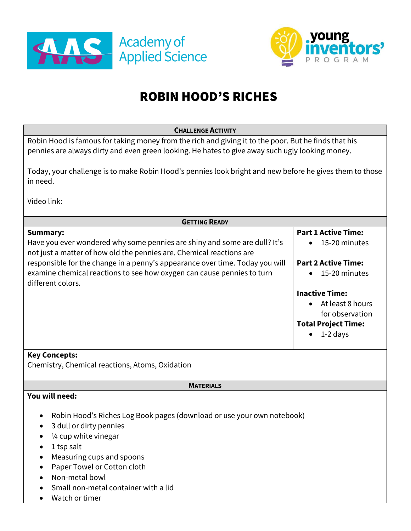



# ROBIN HOOD'S RICHES

| <b>CHALLENGE ACTIVITY</b>                                                                                                                                                                               |                                             |
|---------------------------------------------------------------------------------------------------------------------------------------------------------------------------------------------------------|---------------------------------------------|
| Robin Hood is famous for taking money from the rich and giving it to the poor. But he finds that his<br>pennies are always dirty and even green looking. He hates to give away such ugly looking money. |                                             |
| Today, your challenge is to make Robin Hood's pennies look bright and new before he gives them to those<br>in need.                                                                                     |                                             |
| Video link:                                                                                                                                                                                             |                                             |
| <b>GETTING READY</b>                                                                                                                                                                                    |                                             |
| <b>Summary:</b>                                                                                                                                                                                         | <b>Part 1 Active Time:</b>                  |
| Have you ever wondered why some pennies are shiny and some are dull? It's<br>not just a matter of how old the pennies are. Chemical reactions are                                                       | 15-20 minutes                               |
| responsible for the change in a penny's appearance over time. Today you will<br>examine chemical reactions to see how oxygen can cause pennies to turn<br>different colors.                             | <b>Part 2 Active Time:</b><br>15-20 minutes |
|                                                                                                                                                                                                         | <b>Inactive Time:</b>                       |
|                                                                                                                                                                                                         | At least 8 hours                            |
|                                                                                                                                                                                                         | for observation                             |
|                                                                                                                                                                                                         | <b>Total Project Time:</b>                  |
|                                                                                                                                                                                                         | 1-2 days                                    |
| <b>Key Concepts:</b><br>Chemistry, Chemical reactions, Atoms, Oxidation                                                                                                                                 |                                             |
|                                                                                                                                                                                                         |                                             |
| <b>MATERIALS</b>                                                                                                                                                                                        |                                             |
| You will need:                                                                                                                                                                                          |                                             |
| Robin Hood's Riches Log Book pages (download or use your own notebook)                                                                                                                                  |                                             |
| 3 dull or dirty pennies                                                                                                                                                                                 |                                             |
| 1/4 cup white vinegar                                                                                                                                                                                   |                                             |
| 1 tsp salt                                                                                                                                                                                              |                                             |
| Measuring cups and spoons                                                                                                                                                                               |                                             |
| Paper Towel or Cotton cloth                                                                                                                                                                             |                                             |
| Non-metal bowl                                                                                                                                                                                          |                                             |
| Small non-metal container with a lid                                                                                                                                                                    |                                             |
| Watch or timer                                                                                                                                                                                          |                                             |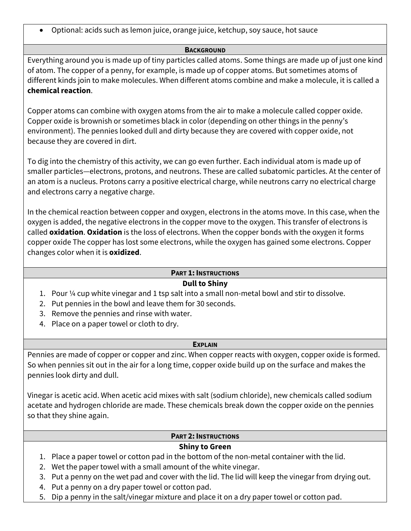• Optional: acids such as lemon juice, orange juice, ketchup, soy sauce, hot sauce

#### **BACKGROUND**

Everything around you is made up of tiny particles called atoms. Some things are made up of just one kind of atom. The copper of a penny, for example, is made up of copper atoms. But sometimes atoms of different kinds join to make molecules. When different atoms combine and make a molecule, it is called a **chemical reaction**.

Copper atoms can combine with oxygen atoms from the air to make a molecule called copper oxide. Copper oxide is brownish or sometimes black in color (depending on other things in the penny's environment). The pennies looked dull and dirty because they are covered with copper oxide, not because they are covered in dirt.

To dig into the chemistry of this activity, we can go even further. Each individual atom is made up of smaller particles—electrons, protons, and neutrons. These are called subatomic particles. At the center of an atom is a nucleus. Protons carry a positive electrical charge, while neutrons carry no electrical charge and electrons carry a negative charge.

In the chemical reaction between copper and oxygen, electrons in the atoms move. In this case, when the oxygen is added, the negative electrons in the copper move to the oxygen. This transfer of electrons is called **oxidation**. **Oxidation** is the loss of electrons. When the copper bonds with the oxygen it forms copper oxide The copper has lost some electrons, while the oxygen has gained some electrons. Copper changes color when it is **oxidized**.

# **PART 1: INSTRUCTIONS**

## **Dull to Shiny**

- 1. Pour ¼ cup white vinegar and 1 tsp salt into a small non-metal bowl and stir to dissolve.
- 2. Put pennies in the bowl and leave them for 30 seconds.
- 3. Remove the pennies and rinse with water.
- 4. Place on a paper towel or cloth to dry.

#### **EXPLAIN**

Pennies are made of copper or copper and zinc. When copper reacts with oxygen, copper oxide is formed. So when pennies sit out in the air for a long time, copper oxide build up on the surface and makes the pennies look dirty and dull.

Vinegar is acetic acid. When acetic acid mixes with salt (sodium chloride), new chemicals called sodium acetate and hydrogen chloride are made. These chemicals break down the copper oxide on the pennies so that they shine again.

#### **PART 2: INSTRUCTIONS**

## **Shiny to Green**

- 1. Place a paper towel or cotton pad in the bottom of the non-metal container with the lid.
- 2. Wet the paper towel with a small amount of the white vinegar.
- 3. Put a penny on the wet pad and cover with the lid. The lid will keep the vinegar from drying out.
- 4. Put a penny on a dry paper towel or cotton pad.
- 5. Dip a penny in the salt/vinegar mixture and place it on a dry paper towel or cotton pad.